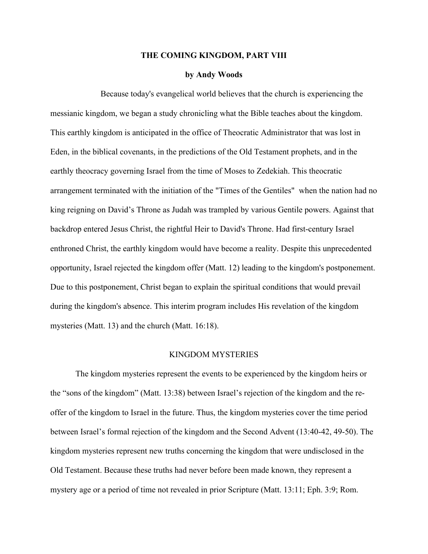## **THE COMING KINGDOM, PART VIII**

## **by Andy Woods**

Because today's evangelical world believes that the church is experiencing the messianic kingdom, we began a study chronicling what the Bible teaches about the kingdom. This earthly kingdom is anticipated in the office of Theocratic Administrator that was lost in Eden, in the biblical covenants, in the predictions of the Old Testament prophets, and in the earthly theocracy governing Israel from the time of Moses to Zedekiah. This theocratic arrangement terminated with the initiation of the "Times of the Gentiles" when the nation had no king reigning on David's Throne as Judah was trampled by various Gentile powers. Against that backdrop entered Jesus Christ, the rightful Heir to David's Throne. Had first-century Israel enthroned Christ, the earthly kingdom would have become a reality. Despite this unprecedented opportunity, Israel rejected the kingdom offer (Matt. 12) leading to the kingdom's postponement. Due to this postponement, Christ began to explain the spiritual conditions that would prevail during the kingdom's absence. This interim program includes His revelation of the kingdom mysteries (Matt. 13) and the church (Matt. 16:18).

## KINGDOM MYSTERIES

The kingdom mysteries represent the events to be experienced by the kingdom heirs or the "sons of the kingdom" (Matt. 13:38) between Israel's rejection of the kingdom and the reoffer of the kingdom to Israel in the future. Thus, the kingdom mysteries cover the time period between Israel's formal rejection of the kingdom and the Second Advent (13:40-42, 49-50). The kingdom mysteries represent new truths concerning the kingdom that were undisclosed in the Old Testament. Because these truths had never before been made known, they represent a mystery age or a period of time not revealed in prior Scripture (Matt. 13:11; Eph. 3:9; Rom.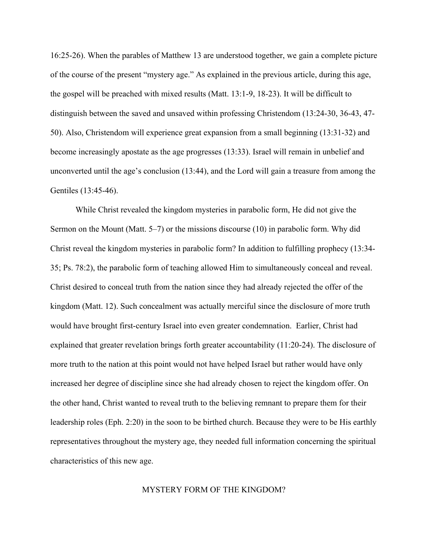16:25-26). When the parables of Matthew 13 are understood together, we gain a complete picture of the course of the present "mystery age." As explained in the previous article, during this age, the gospel will be preached with mixed results (Matt. 13:1-9, 18-23). It will be difficult to distinguish between the saved and unsaved within professing Christendom (13:24-30, 36-43, 47- 50). Also, Christendom will experience great expansion from a small beginning (13:31-32) and become increasingly apostate as the age progresses (13:33). Israel will remain in unbelief and unconverted until the age's conclusion (13:44), and the Lord will gain a treasure from among the Gentiles (13:45-46).

While Christ revealed the kingdom mysteries in parabolic form, He did not give the Sermon on the Mount (Matt. 5–7) or the missions discourse (10) in parabolic form. Why did Christ reveal the kingdom mysteries in parabolic form? In addition to fulfilling prophecy (13:34- 35; Ps. 78:2), the parabolic form of teaching allowed Him to simultaneously conceal and reveal. Christ desired to conceal truth from the nation since they had already rejected the offer of the kingdom (Matt. 12). Such concealment was actually merciful since the disclosure of more truth would have brought first-century Israel into even greater condemnation. Earlier, Christ had explained that greater revelation brings forth greater accountability (11:20-24). The disclosure of more truth to the nation at this point would not have helped Israel but rather would have only increased her degree of discipline since she had already chosen to reject the kingdom offer. On the other hand, Christ wanted to reveal truth to the believing remnant to prepare them for their leadership roles (Eph. 2:20) in the soon to be birthed church. Because they were to be His earthly representatives throughout the mystery age, they needed full information concerning the spiritual characteristics of this new age.

## MYSTERY FORM OF THE KINGDOM?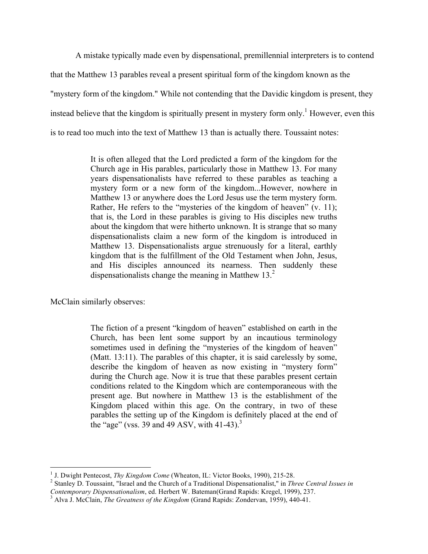A mistake typically made even by dispensational, premillennial interpreters is to contend that the Matthew 13 parables reveal a present spiritual form of the kingdom known as the "mystery form of the kingdom." While not contending that the Davidic kingdom is present, they instead believe that the kingdom is spiritually present in mystery form only.<sup>1</sup> However, even this is to read too much into the text of Matthew 13 than is actually there. Toussaint notes:

> It is often alleged that the Lord predicted a form of the kingdom for the Church age in His parables, particularly those in Matthew 13. For many years dispensationalists have referred to these parables as teaching a mystery form or a new form of the kingdom...However, nowhere in Matthew 13 or anywhere does the Lord Jesus use the term mystery form. Rather, He refers to the "mysteries of the kingdom of heaven" (v. 11); that is, the Lord in these parables is giving to His disciples new truths about the kingdom that were hitherto unknown. It is strange that so many dispensationalists claim a new form of the kingdom is introduced in Matthew 13. Dispensationalists argue strenuously for a literal, earthly kingdom that is the fulfillment of the Old Testament when John, Jesus, and His disciples announced its nearness. Then suddenly these dispensationalists change the meaning in Matthew  $13<sup>2</sup>$

McClain similarly observes:

The fiction of a present "kingdom of heaven" established on earth in the Church, has been lent some support by an incautious terminology sometimes used in defining the "mysteries of the kingdom of heaven" (Matt. 13:11). The parables of this chapter, it is said carelessly by some, describe the kingdom of heaven as now existing in "mystery form" during the Church age. Now it is true that these parables present certain conditions related to the Kingdom which are contemporaneous with the present age. But nowhere in Matthew 13 is the establishment of the Kingdom placed within this age. On the contrary, in two of these parables the setting up of the Kingdom is definitely placed at the end of the "age" (vss. 39 and 49 ASV, with 41-43).<sup>3</sup>

<sup>&</sup>lt;sup>1</sup> J. Dwight Pentecost, *Thy Kingdom Come* (Wheaton, IL: Victor Books, 1990), 215-28.<br><sup>2</sup> Stanley D. Toussaint, "Israel and the Church of a Traditional Dispensationalist," in *Three Central Issues in*<br>*Contemporary Dispen* 

<sup>&</sup>lt;sup>3</sup> Alva J. McClain, *The Greatness of the Kingdom* (Grand Rapids: Zondervan, 1959), 440-41.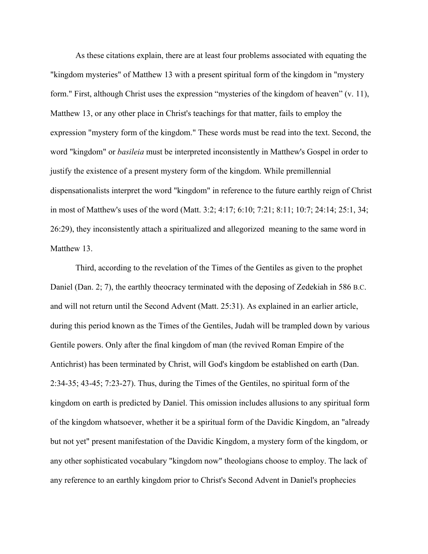As these citations explain, there are at least four problems associated with equating the "kingdom mysteries" of Matthew 13 with a present spiritual form of the kingdom in "mystery form." First, although Christ uses the expression "mysteries of the kingdom of heaven" (v. 11), Matthew 13, or any other place in Christ's teachings for that matter, fails to employ the expression "mystery form of the kingdom." These words must be read into the text. Second, the word "kingdom" or *basileia* must be interpreted inconsistently in Matthew's Gospel in order to justify the existence of a present mystery form of the kingdom. While premillennial dispensationalists interpret the word "kingdom" in reference to the future earthly reign of Christ in most of Matthew's uses of the word (Matt. 3:2; 4:17; 6:10; 7:21; 8:11; 10:7; 24:14; 25:1, 34; 26:29), they inconsistently attach a spiritualized and allegorized meaning to the same word in Matthew 13.

Third, according to the revelation of the Times of the Gentiles as given to the prophet Daniel (Dan. 2; 7), the earthly theocracy terminated with the deposing of Zedekiah in 586 B.C. and will not return until the Second Advent (Matt. 25:31). As explained in an earlier article, during this period known as the Times of the Gentiles, Judah will be trampled down by various Gentile powers. Only after the final kingdom of man (the revived Roman Empire of the Antichrist) has been terminated by Christ, will God's kingdom be established on earth (Dan. 2:34-35; 43-45; 7:23-27). Thus, during the Times of the Gentiles, no spiritual form of the kingdom on earth is predicted by Daniel. This omission includes allusions to any spiritual form of the kingdom whatsoever, whether it be a spiritual form of the Davidic Kingdom, an "already but not yet" present manifestation of the Davidic Kingdom, a mystery form of the kingdom, or any other sophisticated vocabulary "kingdom now" theologians choose to employ. The lack of any reference to an earthly kingdom prior to Christ's Second Advent in Daniel's prophecies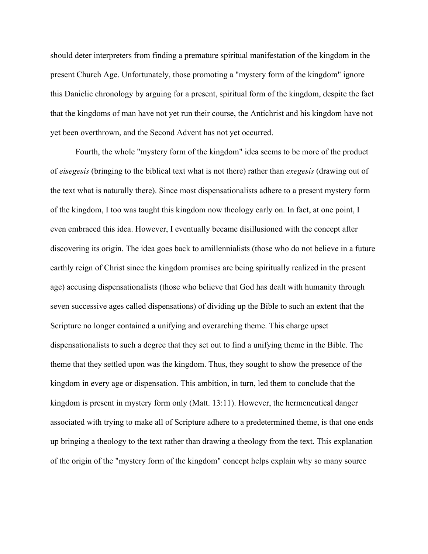should deter interpreters from finding a premature spiritual manifestation of the kingdom in the present Church Age. Unfortunately, those promoting a "mystery form of the kingdom" ignore this Danielic chronology by arguing for a present, spiritual form of the kingdom, despite the fact that the kingdoms of man have not yet run their course, the Antichrist and his kingdom have not yet been overthrown, and the Second Advent has not yet occurred.

Fourth, the whole "mystery form of the kingdom" idea seems to be more of the product of *eisegesis* (bringing to the biblical text what is not there) rather than *exegesis* (drawing out of the text what is naturally there). Since most dispensationalists adhere to a present mystery form of the kingdom, I too was taught this kingdom now theology early on. In fact, at one point, I even embraced this idea. However, I eventually became disillusioned with the concept after discovering its origin. The idea goes back to amillennialists (those who do not believe in a future earthly reign of Christ since the kingdom promises are being spiritually realized in the present age) accusing dispensationalists (those who believe that God has dealt with humanity through seven successive ages called dispensations) of dividing up the Bible to such an extent that the Scripture no longer contained a unifying and overarching theme. This charge upset dispensationalists to such a degree that they set out to find a unifying theme in the Bible. The theme that they settled upon was the kingdom. Thus, they sought to show the presence of the kingdom in every age or dispensation. This ambition, in turn, led them to conclude that the kingdom is present in mystery form only (Matt. 13:11). However, the hermeneutical danger associated with trying to make all of Scripture adhere to a predetermined theme, is that one ends up bringing a theology to the text rather than drawing a theology from the text. This explanation of the origin of the "mystery form of the kingdom" concept helps explain why so many source